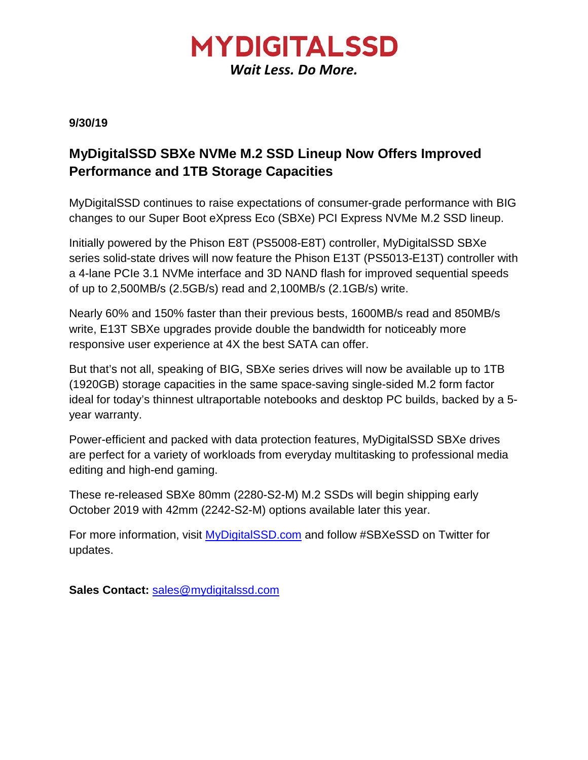

**9/30/19**

## **MyDigitalSSD SBXe NVMe M.2 SSD Lineup Now Offers Improved Performance and 1TB Storage Capacities**

MyDigitalSSD continues to raise expectations of consumer-grade performance with BIG changes to our Super Boot eXpress Eco (SBXe) PCI Express NVMe M.2 SSD lineup.

Initially powered by the Phison E8T (PS5008-E8T) controller, MyDigitalSSD SBXe series solid-state drives will now feature the Phison E13T (PS5013-E13T) controller with a 4-lane PCIe 3.1 NVMe interface and 3D NAND flash for improved sequential speeds of up to 2,500MB/s (2.5GB/s) read and 2,100MB/s (2.1GB/s) write.

Nearly 60% and 150% faster than their previous bests, 1600MB/s read and 850MB/s write, E13T SBXe upgrades provide double the bandwidth for noticeably more responsive user experience at 4X the best SATA can offer.

But that's not all, speaking of BIG, SBXe series drives will now be available up to 1TB (1920GB) storage capacities in the same space-saving single-sided M.2 form factor ideal for today's thinnest ultraportable notebooks and desktop PC builds, backed by a 5 year warranty.

Power-efficient and packed with data protection features, MyDigitalSSD SBXe drives are perfect for a variety of workloads from everyday multitasking to professional media editing and high-end gaming.

These re-released SBXe 80mm (2280-S2-M) M.2 SSDs will begin shipping early October 2019 with 42mm (2242-S2-M) options available later this year.

For more information, visit [MyDigitalSSD.com](https://mydigitalssd.com/pcie-m2-ngff-ssd.php) and follow #SBXeSSD on Twitter for updates.

**Sales Contact:** [sales@mydigitalssd.com](mailto:sales@mydigitalssd.com)